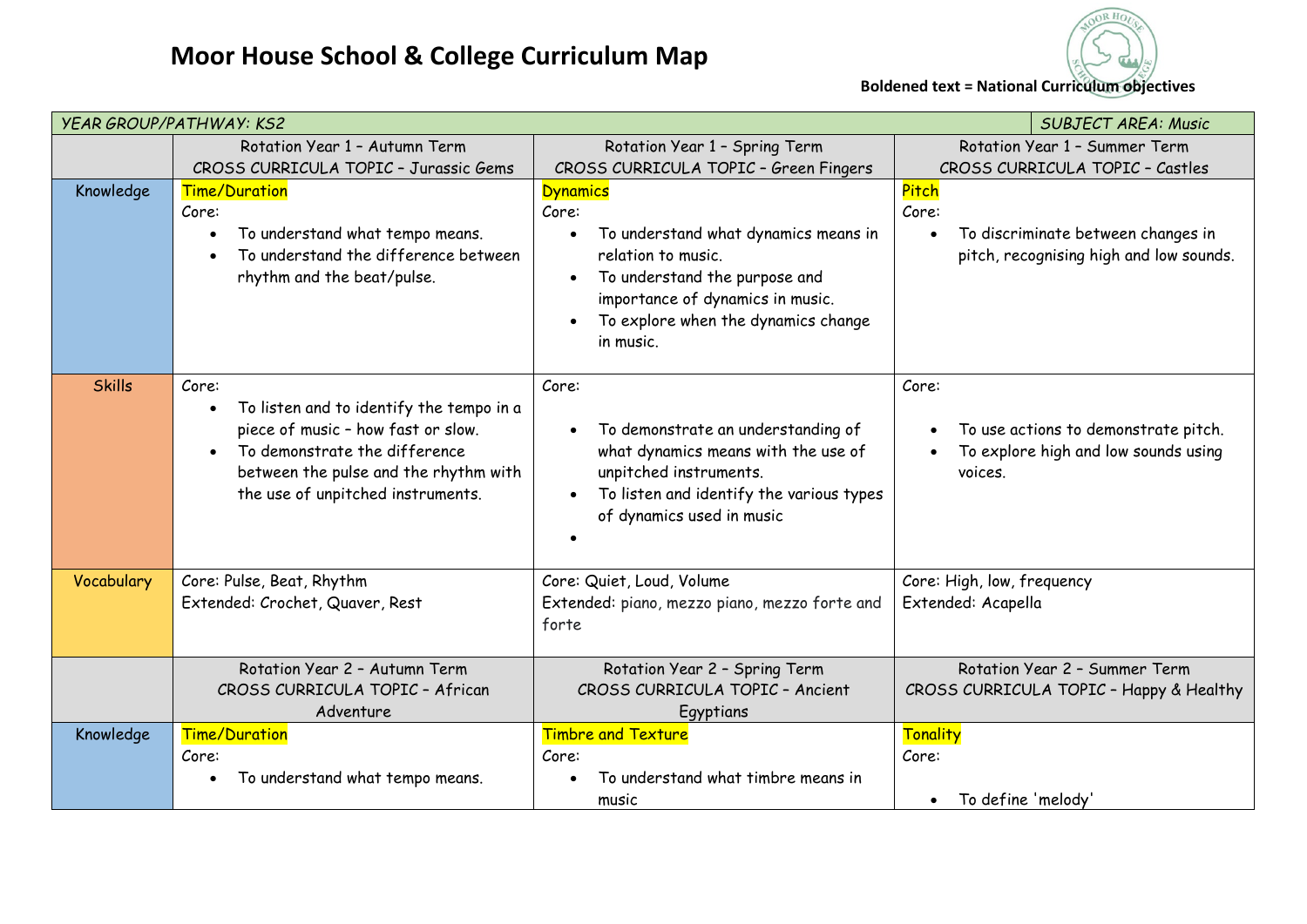



**Boldened text = National Curriculum objectives**

| <b>YEAR GROUP/PATHWAY: KS2</b><br><b>SUBJECT AREA: Music</b> |                                                                                                                                                                                                                                  |                                                                                                                                                                                                                                                        |                                                                                                  |  |  |
|--------------------------------------------------------------|----------------------------------------------------------------------------------------------------------------------------------------------------------------------------------------------------------------------------------|--------------------------------------------------------------------------------------------------------------------------------------------------------------------------------------------------------------------------------------------------------|--------------------------------------------------------------------------------------------------|--|--|
|                                                              | Rotation Year 1 - Autumn Term                                                                                                                                                                                                    | Rotation Year 1 - Spring Term                                                                                                                                                                                                                          | Rotation Year 1 - Summer Term                                                                    |  |  |
|                                                              | CROSS CURRICULA TOPIC - Jurassic Gems                                                                                                                                                                                            | CROSS CURRICULA TOPIC - Green Fingers                                                                                                                                                                                                                  | CROSS CURRICULA TOPIC - Castles                                                                  |  |  |
| Knowledge                                                    | <b>Time/Duration</b><br>Core:<br>To understand what tempo means.<br>To understand the difference between<br>rhythm and the beat/pulse.                                                                                           | <b>Dynamics</b><br>Core:<br>To understand what dynamics means in<br>$\bullet$<br>relation to music.<br>To understand the purpose and<br>$\bullet$<br>importance of dynamics in music.<br>To explore when the dynamics change<br>$\bullet$<br>in music. | Pitch<br>Core:<br>To discriminate between changes in<br>pitch, recognising high and low sounds.  |  |  |
| <b>Skills</b>                                                | Core:<br>To listen and to identify the tempo in a<br>$\bullet$<br>piece of music - how fast or slow.<br>To demonstrate the difference<br>$\bullet$<br>between the pulse and the rhythm with<br>the use of unpitched instruments. | Core:<br>To demonstrate an understanding of<br>what dynamics means with the use of<br>unpitched instruments.<br>To listen and identify the various types<br>of dynamics used in music                                                                  | Core:<br>To use actions to demonstrate pitch.<br>To explore high and low sounds using<br>voices. |  |  |
| Vocabulary                                                   | Core: Pulse, Beat, Rhythm<br>Extended: Crochet, Quaver, Rest                                                                                                                                                                     | Core: Quiet, Loud, Volume<br>Extended: piano, mezzo piano, mezzo forte and<br>forte                                                                                                                                                                    | Core: High, low, frequency<br>Extended: Acapella                                                 |  |  |
|                                                              | Rotation Year 2 - Autumn Term<br>CROSS CURRICULA TOPIC - African<br>Adventure                                                                                                                                                    | Rotation Year 2 - Spring Term<br>CROSS CURRICULA TOPIC - Ancient<br>Egyptians                                                                                                                                                                          | Rotation Year 2 - Summer Term<br>CROSS CURRICULA TOPIC - Happy & Healthy                         |  |  |
| Knowledge                                                    | <b>Time/Duration</b><br>Core:<br>To understand what tempo means.                                                                                                                                                                 | <b>Timbre and Texture</b><br>Core:<br>To understand what timbre means in<br>music                                                                                                                                                                      | <b>Tonality</b><br>Core:<br>To define 'melody'                                                   |  |  |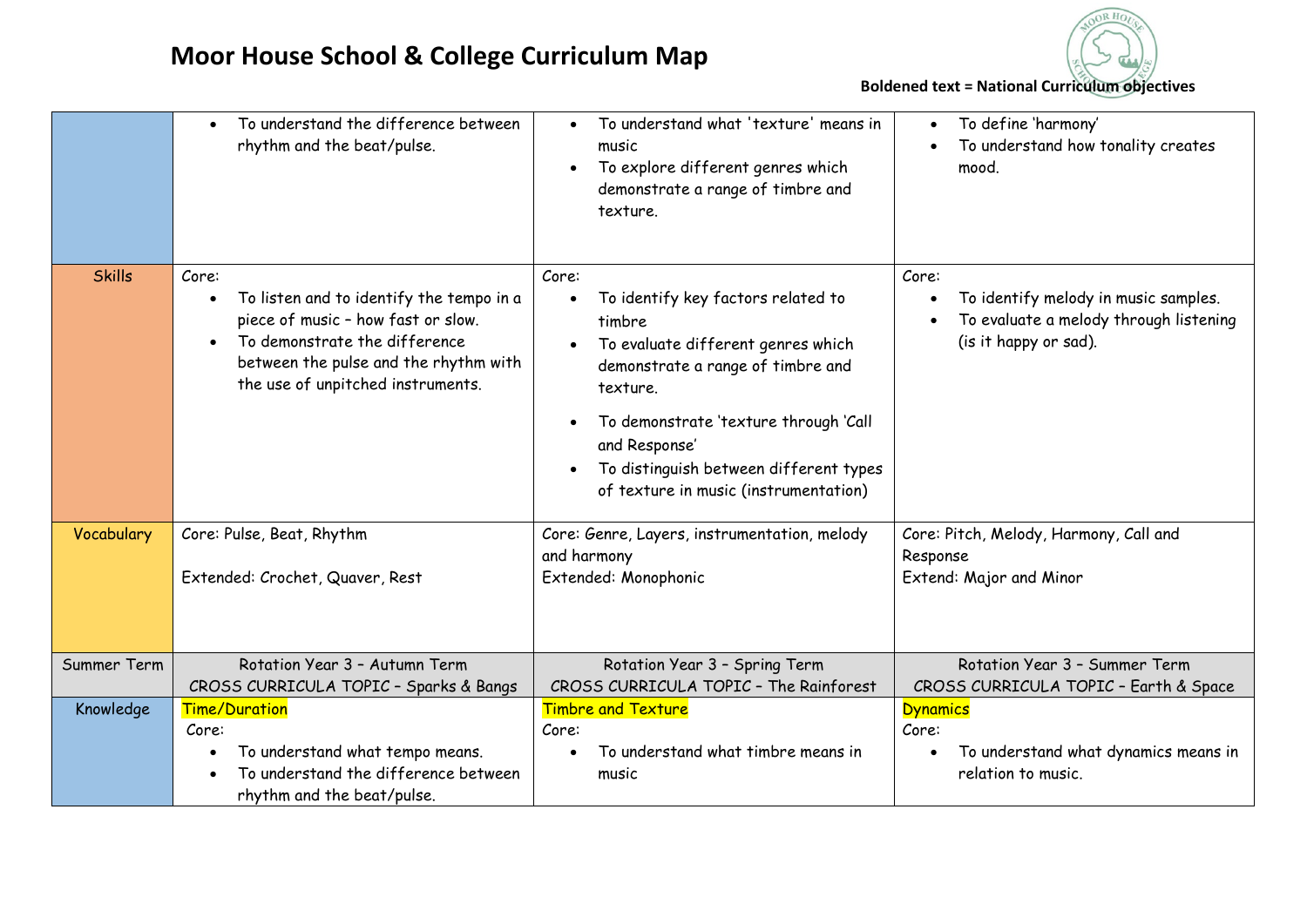

**Boldened text = National Curriculum objectives**

|               | To understand the difference between<br>rhythm and the beat/pulse.                                                                                                                                                  | To understand what 'texture' means in<br>$\bullet$<br>music<br>To explore different genres which<br>$\bullet$<br>demonstrate a range of timbre and<br>texture.                                                                                                                                                                   | To define 'harmony'<br>To understand how tonality creates<br>mood.                                               |
|---------------|---------------------------------------------------------------------------------------------------------------------------------------------------------------------------------------------------------------------|----------------------------------------------------------------------------------------------------------------------------------------------------------------------------------------------------------------------------------------------------------------------------------------------------------------------------------|------------------------------------------------------------------------------------------------------------------|
| <b>Skills</b> | Core:<br>To listen and to identify the tempo in a<br>$\bullet$<br>piece of music - how fast or slow.<br>To demonstrate the difference<br>between the pulse and the rhythm with<br>the use of unpitched instruments. | Core:<br>To identify key factors related to<br>$\bullet$<br>timbre<br>To evaluate different genres which<br>$\bullet$<br>demonstrate a range of timbre and<br>texture.<br>To demonstrate 'texture through 'Call<br>$\bullet$<br>and Response'<br>To distinguish between different types<br>of texture in music (instrumentation) | Core:<br>To identify melody in music samples.<br>To evaluate a melody through listening<br>(is it happy or sad). |
| Vocabulary    | Core: Pulse, Beat, Rhythm<br>Extended: Crochet, Quaver, Rest                                                                                                                                                        | Core: Genre, Layers, instrumentation, melody<br>and harmony<br>Extended: Monophonic                                                                                                                                                                                                                                              | Core: Pitch, Melody, Harmony, Call and<br>Response<br>Extend: Major and Minor                                    |
| Summer Term   | Rotation Year 3 - Autumn Term<br>CROSS CURRICULA TOPIC - Sparks & Bangs                                                                                                                                             | Rotation Year 3 - Spring Term<br>CROSS CURRICULA TOPIC - The Rainforest                                                                                                                                                                                                                                                          | Rotation Year 3 - Summer Term<br>CROSS CURRICULA TOPIC - Earth & Space                                           |
| Knowledge     | <b>Time/Duration</b><br>Core:<br>To understand what tempo means.<br>To understand the difference between<br>rhythm and the beat/pulse.                                                                              | <b>Timbre and Texture</b><br>Core:<br>To understand what timbre means in<br>$\bullet$<br>music                                                                                                                                                                                                                                   | <b>Dynamics</b><br>Core:<br>To understand what dynamics means in<br>relation to music.                           |